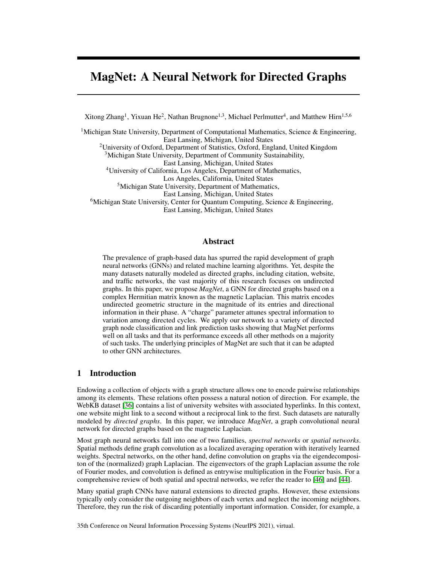# <span id="page-0-0"></span>MagNet: A Neural Network for Directed Graphs

Xitong Zhang<sup>1</sup>, Yixuan He<sup>2</sup>, Nathan Brugnone<sup>1,3</sup>, Michael Perlmutter<sup>4</sup>, and Matthew Hirn<sup>1,5,6</sup>

<sup>1</sup>Michigan State University, Department of Computational Mathematics, Science & Engineering, East Lansing, Michigan, United States <sup>2</sup>University of Oxford, Department of Statistics, Oxford, England, United Kingdom <sup>3</sup>Michigan State University, Department of Community Sustainability, East Lansing, Michigan, United States <sup>4</sup>University of California, Los Angeles, Department of Mathematics, Los Angeles, California, United States <sup>5</sup>Michigan State University, Department of Mathematics, East Lansing, Michigan, United States <sup>6</sup>Michigan State University, Center for Quantum Computing, Science & Engineering, East Lansing, Michigan, United States

# Abstract

The prevalence of graph-based data has spurred the rapid development of graph neural networks (GNNs) and related machine learning algorithms. Yet, despite the many datasets naturally modeled as directed graphs, including citation, website, and traffic networks, the vast majority of this research focuses on undirected graphs. In this paper, we propose *MagNet*, a GNN for directed graphs based on a complex Hermitian matrix known as the magnetic Laplacian. This matrix encodes undirected geometric structure in the magnitude of its entries and directional information in their phase. A "charge" parameter attunes spectral information to variation among directed cycles. We apply our network to a variety of directed graph node classification and link prediction tasks showing that MagNet performs well on all tasks and that its performance exceeds all other methods on a majority of such tasks. The underlying principles of MagNet are such that it can be adapted to other GNN architectures.

# 1 Introduction

Endowing a collection of objects with a graph structure allows one to encode pairwise relationships among its elements. These relations often possess a natural notion of direction. For example, the WebKB dataset [\[36\]](#page-11-0) contains a list of university websites with associated hyperlinks. In this context, one website might link to a second without a reciprocal link to the first. Such datasets are naturally modeled by *directed graphs*. In this paper, we introduce *MagNet*, a graph convolutional neural network for directed graphs based on the magnetic Laplacian.

Most graph neural networks fall into one of two families, *spectral networks* or *spatial networks*. Spatial methods define graph convolution as a localized averaging operation with iteratively learned weights. Spectral networks, on the other hand, define convolution on graphs via the eigendecompositon of the (normalized) graph Laplacian. The eigenvectors of the graph Laplacian assume the role of Fourier modes, and convolution is defined as entrywise multiplication in the Fourier basis. For a comprehensive review of both spatial and spectral networks, we refer the reader to [\[46\]](#page-12-0) and [\[44\]](#page-12-1).

Many spatial graph CNNs have natural extensions to directed graphs. However, these extensions typically only consider the outgoing neighbors of each vertex and neglect the incoming neighbors. Therefore, they run the risk of discarding potentially important information. Consider, for example, a

35th Conference on Neural Information Processing Systems (NeurIPS 2021), virtual.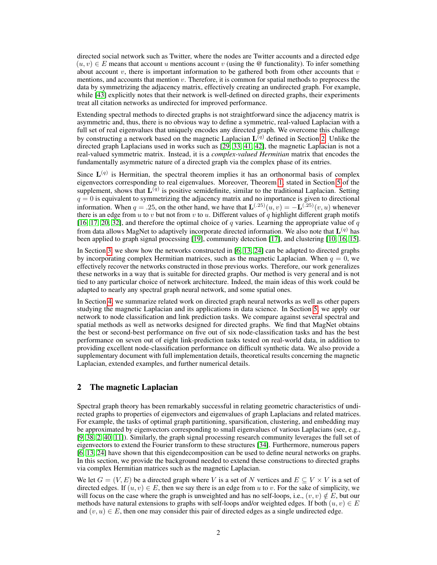directed social network such as Twitter, where the nodes are Twitter accounts and a directed edge  $(u, v) \in E$  means that account u mentions account v (using the @ functionality). To infer something about account  $v$ , there is important information to be gathered both from other accounts that  $v$ mentions, and accounts that mention v. Therefore, it is common for spatial methods to preprocess the data by symmetrizing the adjacency matrix, effectively creating an undirected graph. For example, while [\[43\]](#page-12-2) explicitly notes that their network is well-defined on directed graphs, their experiments treat all citation networks as undirected for improved performance.

Extending spectral methods to directed graphs is not straightforward since the adjacency matrix is asymmetric and, thus, there is no obvious way to define a symmetric, real-valued Laplacian with a full set of real eigenvalues that uniquely encodes any directed graph. We overcome this challenge by constructing a network based on the magnetic Laplacian  $L^{(q)}$  defined in Section [2.](#page-1-0) Unlike the directed graph Laplacians used in works such as [\[29,](#page-11-1) [33,](#page-11-2) [41,](#page-12-3) [42\]](#page-12-4), the magnetic Laplacian is not a real-valued symmetric matrix. Instead, it is a *complex-valued Hermitian* matrix that encodes the fundamentally asymmetric nature of a directed graph via the complex phase of its entries.

Since  $\mathbf{L}^{(q)}$  is Hermitian, the spectral theorem implies it has an orthonormal basis of complex eigenvectors corresponding to real eigenvalues. Moreover, Theorem [1,](#page-0-0) stated in Section [5](#page-6-0) of the supplement, shows that  $\mathbf{L}^{(q)}$  is positive semidefinite, similar to the traditional Laplacian. Setting  $q = 0$  is equivalent to symmetrizing the adjacency matrix and no importance is given to directional information. When  $q = .25$ , on the other hand, we have that  $\mathbf{L}^{(.25)}(u, v) = -\mathbf{L}^{(.25)}(v, u)$  whenever there is an edge from  $u$  to  $v$  but not from  $v$  to  $u$ . Different values of  $q$  highlight different graph motifs [\[16,](#page-10-0) [17,](#page-10-1) [20,](#page-11-3) [32\]](#page-11-4), and therefore the optimal choice of  $q$  varies. Learning the appropriate value of  $q$ from data allows MagNet to adaptively incorporate directed information. We also note that  $\mathbf{L}^{(q)}$  has been applied to graph signal processing [\[19\]](#page-11-5), community detection [\[17\]](#page-10-1), and clustering [\[10,](#page-10-2) [16,](#page-10-0) [15\]](#page-10-3).

In Section [3,](#page-3-0) we show how the networks constructed in [\[6,](#page-10-4) [13,](#page-10-5) [24\]](#page-11-6) can be adapted to directed graphs by incorporating complex Hermitian matrices, such as the magnetic Laplacian. When  $q = 0$ , we effectively recover the networks constructed in those previous works. Therefore, our work generalizes these networks in a way that is suitable for directed graphs. Our method is very general and is not tied to any particular choice of network architecture. Indeed, the main ideas of this work could be adapted to nearly any spectral graph neural network, and some spatial ones.

In Section [4,](#page-5-0) we summarize related work on directed graph neural networks as well as other papers studying the magnetic Laplacian and its applications in data science. In Section [5,](#page-6-0) we apply our network to node classification and link prediction tasks. We compare against several spectral and spatial methods as well as networks designed for directed graphs. We find that MagNet obtains the best or second-best performance on five out of six node-classification tasks and has the best performance on seven out of eight link-prediction tasks tested on real-world data, in addition to providing excellent node-classification performance on difficult synthetic data. We also provide a supplementary document with full implementation details, theoretical results concerning the magnetic Laplacian, extended examples, and further numerical details.

## <span id="page-1-0"></span>2 The magnetic Laplacian

Spectral graph theory has been remarkably successful in relating geometric characteristics of undirected graphs to properties of eigenvectors and eigenvalues of graph Laplacians and related matrices. For example, the tasks of optimal graph partitioning, sparsification, clustering, and embedding may be approximated by eigenvectors corresponding to small eigenvalues of various Laplacians (see, e.g., [\[9,](#page-10-6) [38,](#page-12-5) [2,](#page-10-7) [40,](#page-12-6) [11\]](#page-10-8)). Similarly, the graph signal processing research community leverages the full set of eigenvectors to extend the Fourier transform to these structures [\[34\]](#page-11-7). Furthermore, numerous papers [\[6,](#page-10-4) [13,](#page-10-5) [24\]](#page-11-6) have shown that this eigendecomposition can be used to define neural networks on graphs. In this section, we provide the background needed to extend these constructions to directed graphs via complex Hermitian matrices such as the magnetic Laplacian.

We let  $G = (V, E)$  be a directed graph where V is a set of N vertices and  $E \subseteq V \times V$  is a set of directed edges. If  $(u, v) \in E$ , then we say there is an edge from u to v. For the sake of simplicity, we will focus on the case where the graph is unweighted and has no self-loops, i.e.,  $(v, v) \notin E$ , but our methods have natural extensions to graphs with self-loops and/or weighted edges. If both  $(u, v) \in E$ and  $(v, u) \in E$ , then one may consider this pair of directed edges as a single undirected edge.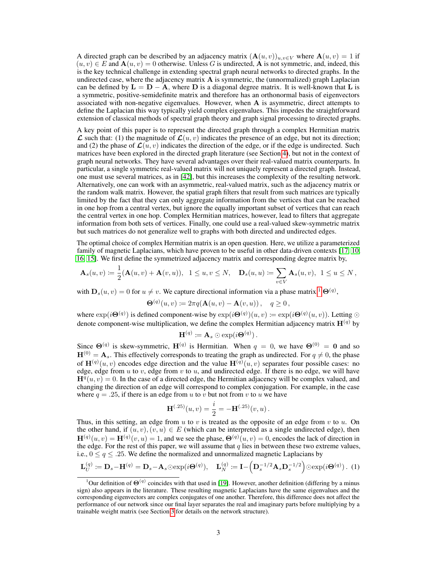A directed graph can be described by an adjacency matrix  $(\mathbf{A}(u, v))_{u,v \in V}$  where  $\mathbf{A}(u, v) = 1$  if  $(u, v) \in E$  and  $\mathbf{A}(u, v) = 0$  otherwise. Unless G is undirected, A is not symmetric, and, indeed, this is the key technical challenge in extending spectral graph neural networks to directed graphs. In the undirected case, where the adjacency matrix  $A$  is symmetric, the (unnormalized) graph Laplacian can be defined by  $L = D - A$ , where D is a diagonal degree matrix. It is well-known that L is a symmetric, positive-semidefinite matrix and therefore has an orthonormal basis of eigenvectors associated with non-negative eigenvalues. However, when A is asymmetric, direct attempts to define the Laplacian this way typically yield complex eigenvalues. This impedes the straightforward extension of classical methods of spectral graph theory and graph signal processing to directed graphs.

A key point of this paper is to represent the directed graph through a complex Hermitian matrix  $\mathcal L$  such that: (1) the magnitude of  $\mathcal L(u, v)$  indicates the presence of an edge, but not its direction; and (2) the phase of  $\mathcal{L}(u, v)$  indicates the direction of the edge, or if the edge is undirected. Such matrices have been explored in the directed graph literature (see Section [4\)](#page-5-0), but not in the context of graph neural networks. They have several advantages over their real-valued matrix counterparts. In particular, a single symmetric real-valued matrix will not uniquely represent a directed graph. Instead, one must use several matrices, as in [\[42\]](#page-12-4), but this increases the complexity of the resulting network. Alternatively, one can work with an asymmetric, real-valued matrix, such as the adjacency matrix or the random walk matrix. However, the spatial graph filters that result from such matrices are typically limited by the fact that they can only aggregate information from the vertices that can be reached in one hop from a central vertex, but ignore the equally important subset of vertices that can reach the central vertex in one hop. Complex Hermitian matrices, however, lead to filters that aggregate information from both sets of vertices. Finally, one could use a real-valued skew-symmetric matrix but such matrices do not generalize well to graphs with both directed and undirected edges.

The optimal choice of complex Hermitian matrix is an open question. Here, we utilize a parameterized family of magnetic Laplacians, which have proven to be useful in other data-driven contexts [\[17,](#page-10-1) [10,](#page-10-2) [16,](#page-10-0) [15\]](#page-10-3). We first define the symmetrized adjacency matrix and corresponding degree matrix by,

$$
\mathbf{A}_s(u,v) := \frac{1}{2}(\mathbf{A}(u,v) + \mathbf{A}(v,u)), \quad 1 \le u, v \le N, \quad \mathbf{D}_s(u,u) := \sum_{v \in V} \mathbf{A}_s(u,v), \quad 1 \le u \le N,
$$

with  $\mathbf{D}_s(u, v) = 0$  for  $u \neq v$ . We capture directional information via a phase matrix,<sup>[1](#page-2-0)</sup>  $\mathbf{\Theta}^{(q)}$ ,

$$
\mathbf{\Theta}^{(q)}(u,v) \coloneqq 2\pi q(\mathbf{A}(u,v) - \mathbf{A}(v,u)), \quad q \ge 0,
$$

where  $\exp(i\Theta^{(q)})$  is defined component-wise by  $\exp(i\Theta^{(q)})(u, v) \coloneqq \exp(i\Theta^{(q)}(u, v))$ . Letting  $\odot$ denote component-wise multiplication, we define the complex Hermitian adjacency matrix  $\mathbf{H}^{(q)}$  by

$$
\mathbf{H}^{(q)} \coloneqq \mathbf{A}_s \odot \exp(i\mathbf{\Theta}^{(q)})\,.
$$

Since  $\Theta^{(q)}$  is skew-symmetric,  $H^{(q)}$  is Hermitian. When  $q = 0$ , we have  $\Theta^{(0)} = 0$  and so  $H^{(0)} = A_s$ . This effectively corresponds to treating the graph as undirected. For  $q \neq 0$ , the phase of  $\mathbf{H}^{(q)}(u, v)$  encodes edge direction and the value  $\mathbf{H}^{(q)}(u, v)$  separates four possible cases: no edge, edge from  $u$  to  $v$ , edge from  $v$  to  $u$ , and undirected edge. If there is no edge, we will have  $H^{\bar{q}}(u, v) = 0$ . In the case of a directed edge, the Hermitian adjacency will be complex valued, and changing the direction of an edge will correspond to complex conjugation. For example, in the case where  $q = .25$ , if there is an edge from u to v but not from v to u we have

$$
\mathbf{H}^{(.25)}(u,v) = \frac{i}{2} = -\mathbf{H}^{(.25)}(v,u) .
$$

Thus, in this setting, an edge from u to v is treated as the opposite of an edge from v to u. On the other hand, if  $(u, v), (v, u) \in E$  (which can be interpreted as a single undirected edge), then  $\mathbf{H}^{(q)}(u,v) = \mathbf{H}^{(q)}(v,u) = 1$ , and we see the phase,  $\mathbf{\Theta}^{(q)}(u,v) = 0$ , encodes the lack of direction in the edge. For the rest of this paper, we will assume that  $q$  lies in between these two extreme values, i.e.,  $0 \le q \le .25$ . We define the normalized and unnormalized magnetic Laplacians by

$$
\mathbf{L}_U^{(q)} \coloneqq \mathbf{D}_s - \mathbf{H}^{(q)} = \mathbf{D}_s - \mathbf{A}_s \odot \exp(i\Theta^{(q)}), \quad \mathbf{L}_N^{(q)} \coloneqq \mathbf{I} - \left(\mathbf{D}_s^{-1/2} \mathbf{A}_s \mathbf{D}_s^{-1/2}\right) \odot \exp(i\Theta^{(q)}) \tag{1}
$$

<span id="page-2-0"></span><sup>&</sup>lt;sup>1</sup>Our definition of  $\Theta^{(q)}$  coincides with that used in [\[19\]](#page-11-5). However, another definition (differing by a minus sign) also appears in the literature. These resulting magnetic Laplacians have the same eigenvalues and the corresponding eigenvectors are complex conjugates of one another. Therefore, this difference does not affect the performance of our network since our final layer separates the real and imaginary parts before multiplying by a trainable weight matrix (see Section [3](#page-3-0) for details on the network structure).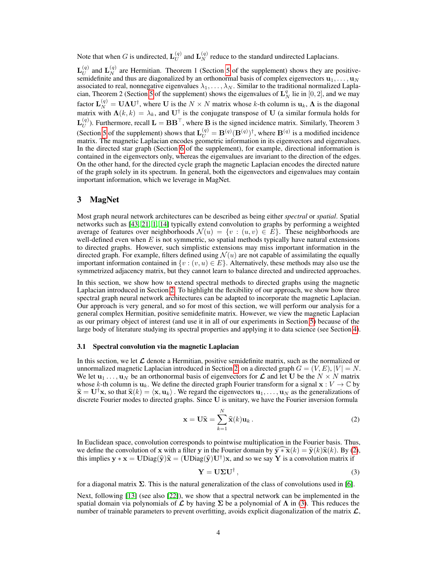Note that when G is undirected,  $\mathbf{L}_{U}^{(q)}$  $\mathbf{L}_{U}^{(q)}$  and  $\mathbf{L}_{N}^{(q)}$  reduce to the standard undirected Laplacians.

 $\mathbf{L}_{II}^{(q)}$  $U_U^{(q)}$  and  $\mathbf{L}_N^{(q)}$  are Hermitian. Theorem 1 (Section [5](#page-6-0) of the supplement) shows they are positivesemidefinite and thus are diagonalized by an orthonormal basis of complex eigenvectors  $\mathbf{u}_1, \dots, \mathbf{u}_N$ associated to real, nonnegative eigenvalues  $\lambda_1, \dots, \lambda_N$ . Similar to the traditional normalized Lapla-cian, Theorem 2 (Section [5](#page-6-0) of the supplement) shows the eigenvalues of  $\mathbf{L}_N^q$  lie in [0, 2], and we may factor  $\mathbf{L}_N^{(q)} = \mathbf{U} \mathbf{\Lambda} \mathbf{U}^{\dagger}$ , where U is the  $N \times N$  matrix whose k-th column is  $\mathbf{u}_k$ ,  $\mathbf{\Lambda}$  is the diagonal matrix with  $\Lambda(k,k) = \lambda_k$ , and U<sup>†</sup> is the conjugate transpose of U (a similar formula holds for  $\mathbf{L}_{II}^{(q)}$  $\mathbf{U}_U^{(q)}$ ). Furthermore, recall  $\mathbf{L} = \mathbf{B} \mathbf{B}^\top$ , where **B** is the signed incidence matrix. Similarly, Theorem 3 (Section [5](#page-6-0) of the supplement) shows that  $\mathbf{L}_U^{(q)} = \mathbf{B}^{(q)}(\mathbf{B}^{(q)})^{\dagger}$ , where  $\mathbf{B}^{(q)}$  is a modified incidence matrix. The magnetic Laplacian encodes geometric information in its eigenvectors and eigenvalues. In the directed star graph (Section [6](#page-9-0) of the supplement), for example, directional information is contained in the eigenvectors only, whereas the eigenvalues are invariant to the direction of the edges. On the other hand, for the directed cycle graph the magnetic Laplacian encodes the directed nature of the graph solely in its spectrum. In general, both the eigenvectors and eigenvalues may contain important information, which we leverage in MagNet.

# <span id="page-3-0"></span>3 MagNet

Most graph neural network architectures can be described as being either *spectral* or *spatial*. Spatial networks such as [\[43,](#page-12-2) [21,](#page-11-8) [1,](#page-10-9) [14\]](#page-10-10) typically extend convolution to graphs by performing a weighted average of features over neighborhoods  $\mathcal{N}(u) = \{v : (u, v) \in E\}$ . These neighborhoods are well-defined even when  $E$  is not symmetric, so spatial methods typically have natural extensions to directed graphs. However, such simplistic extensions may miss important information in the directed graph. For example, filters defined using  $\mathcal{N}(u)$  are not capable of assimilating the equally important information contained in  $\{v : (v, u) \in E\}$ . Alternatively, these methods may also use the symmetrized adjacency matrix, but they cannot learn to balance directed and undirected approaches.

In this section, we show how to extend spectral methods to directed graphs using the magnetic Laplacian introduced in Section [2.](#page-1-0) To highlight the flexibility of our approach, we show how three spectral graph neural network architectures can be adapted to incorporate the magnetic Laplacian. Our approach is very general, and so for most of this section, we will perform our analysis for a general complex Hermitian, positive semidefinite matrix. However, we view the magnetic Laplacian as our primary object of interest (and use it in all of our experiments in Section [5\)](#page-6-0) because of the large body of literature studying its spectral properties and applying it to data science (see Section [4\)](#page-5-0).

## 3.1 Spectral convolution via the magnetic Laplacian

In this section, we let  $\mathcal L$  denote a Hermitian, positive semidefinite matrix, such as the normalized or unnormalized magnetic Laplacian introduced in Section [2,](#page-1-0) on a directed graph  $G = (V, E), |V| = N$ . We let  $\mathbf{u}_1 \dots, \mathbf{u}_N$  be an orthonormal basis of eigenvectors for  $\mathcal{L}$  and let U be the  $N \times N$  matrix whose k-th column is  $\mathbf{u}_k$ . We define the directed graph Fourier transform for a signal  $\mathbf{x}: V \to \mathbb{C}$  by  $\hat{\mathbf{x}} = \mathbf{U}^{\dagger} \mathbf{x}$ , so that  $\hat{\mathbf{x}}(k) = \langle \mathbf{x}, \mathbf{u}_k \rangle$ . We regard the eigenvectors  $\mathbf{u}_1, \dots, \mathbf{u}_N$  as the generalizations of discrete Fourier modes to directed graphs. Since U is unitary, we have the Fourier inversion formula

<span id="page-3-1"></span>
$$
\mathbf{x} = \mathbf{U}\hat{\mathbf{x}} = \sum_{k=1}^{N} \hat{\mathbf{x}}(k)\mathbf{u}_k.
$$
 (2)

In Euclidean space, convolution corresponds to pointwise multiplication in the Fourier basis. Thus, we define the convolution of x with a filter y in the Fourier domain by  $\widehat{\mathbf{y}*\mathbf{x}}(k) = \widehat{\mathbf{y}}(k)\widehat{\mathbf{x}}(k)$ . By [\(2\)](#page-3-1), this implies  $y * x = \text{UDiag}(\hat{y})\hat{x} = (\text{UDiag}(\hat{y})\text{U}^{\dagger})x$ , and so we say Y is a convolution matrix if

<span id="page-3-2"></span>
$$
\mathbf{Y} = \mathbf{U} \Sigma \mathbf{U}^{\dagger},\tag{3}
$$

for a diagonal matrix  $\Sigma$ . This is the natural generalization of the class of convolutions used in [\[6\]](#page-10-4).

Next, following [\[13\]](#page-10-5) (see also [\[22\]](#page-11-9)), we show that a spectral network can be implemented in the spatial domain via polynomials of  $\mathcal L$  by having  $\Sigma$  be a polynomial of  $\Lambda$  in [\(3\)](#page-3-2). This reduces the number of trainable parameters to prevent overfitting, avoids explicit diagonalization of the matrix  $\mathcal{L}$ ,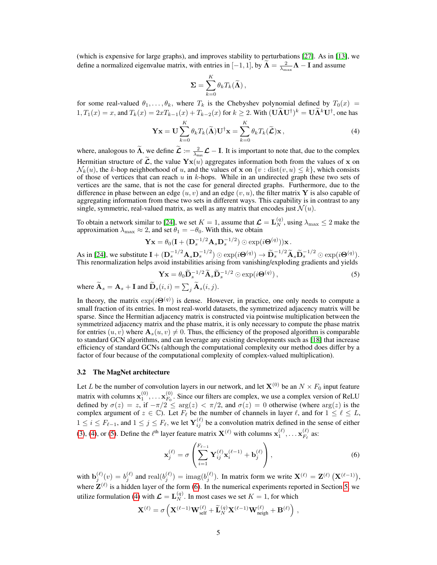(which is expensive for large graphs), and improves stability to perturbations [\[27\]](#page-11-10). As in [\[13\]](#page-10-5), we define a normalized eigenvalue matrix, with entries in [-1, 1], by  $\widetilde{\mathbf{\Lambda}} = \frac{2}{\lambda_{\text{max}}}\mathbf{\Lambda} - \mathbf{I}$  and assume

<span id="page-4-0"></span>
$$
\mathbf{\Sigma} = \sum_{k=0}^K \theta_k T_k(\widetilde{\mathbf{\Lambda}}),
$$

for some real-valued  $\theta_1, \ldots, \theta_k$ , where  $T_k$  is the Chebyshev polynomial defined by  $T_0(x)$  =  $1, T_1(x) = x$ , and  $T_k(x) = 2xT_{k-1}(x) + T_{k-2}(x)$  for  $k \ge 2$ . With  $(\mathbf{U}\tilde{\mathbf{\Lambda}}\mathbf{U}^{\dagger})^k = \mathbf{U}\tilde{\mathbf{\Lambda}}^k\mathbf{U}^{\dagger}$ , one has

$$
\mathbf{Yx} = \mathbf{U} \sum_{k=0}^{K} \theta_k T_k(\widetilde{\mathbf{\Lambda}}) \mathbf{U}^{\dagger} \mathbf{x} = \sum_{k=0}^{K} \theta_k T_k(\widetilde{\mathbf{\mathcal{L}}}) \mathbf{x},
$$
\n(4)

where, analogous to  $\widetilde{\Lambda}$ , we define  $\widetilde{\mathcal{L}} := \frac{2}{\lambda_{\text{max}}}\mathcal{L} - I$ . It is important to note that, due to the complex Hermitian structure of  $\hat{\mathcal{L}}$ , the value  $\mathbf{Y}\mathbf{x}(u)$  aggregates information both from the values of x on  $\mathcal{N}_k(u)$ , the k-hop neighborhood of u, and the values of x on  $\{v : \text{dist}(v, u) \leq k\}$ , which consists of those of vertices that can reach  $u$  in  $k$ -hops. While in an undirected graph these two sets of vertices are the same, that is not the case for general directed graphs. Furthermore, due to the difference in phase between an edge  $(u, v)$  and an edge  $(v, u)$ , the filter matrix Y is also capable of aggregating information from these two sets in different ways. This capability is in contrast to any single, symmetric, real-valued matrix, as well as any matrix that encodes just  $\mathcal{N}(u)$ .

To obtain a network similar to [\[24\]](#page-11-6), we set  $K = 1$ , assume that  $\mathcal{L} = \mathbf{L}_N^{(q)}$ , using  $\lambda_{\max} \le 2$  make the approximation  $\lambda_{\text{max}} \approx 2$ , and set  $\theta_1 = -\theta_0$ . With this, we obtain

$$
\mathbf{Yx} = \theta_0(\mathbf{I} + (\mathbf{D}_s^{-1/2} \mathbf{A}_s \mathbf{D}_s^{-1/2}) \odot \exp(i\mathbf{\Theta}^{(q)}))\mathbf{x}.
$$

As in [\[24\]](#page-11-6), we substitute  $\mathbf{I} + (\mathbf{D}_s^{-1/2} \mathbf{A}_s \mathbf{D}_s^{-1/2}) \odot \exp(i\mathbf{\Theta}^{(q)}) \rightarrow \widetilde{\mathbf{D}}_s^{-1/2} \widetilde{\mathbf{A}}_s \widetilde{\mathbf{D}}_s^{-1/2} \odot \exp(i\mathbf{\Theta}^{(q)})$ This renormalization helps avoid instabilities arising from vanishing/exploding gradients and yields

<span id="page-4-1"></span>
$$
\mathbf{Yx} = \theta_0 \widetilde{\mathbf{D}}_s^{-1/2} \widetilde{\mathbf{A}}_s \widetilde{\mathbf{D}}_s^{-1/2} \odot \exp(i\Theta^{(q)}), \qquad (5)
$$

where  $\mathbf{A}_s = \mathbf{A}_s + \mathbf{I}$  and  $\mathbf{D}_s(i, i) = \sum_j \mathbf{A}_s(i, j)$ .

In theory, the matrix  $\exp(i\Theta^{(q)})$  is dense. However, in practice, one only needs to compute a small fraction of its entries. In most real-world datasets, the symmetrized adjacency matrix will be sparse. Since the Hermitian adjacency matrix is constructed via pointwise multiplication between the symmetrized adjacency matrix and the phase matrix, it is only necessary to compute the phase matrix for entries  $(u, v)$  where  $\mathbf{A}_s(u, v) \neq 0$ . Thus, the efficiency of the proposed algorithm is comparable to standard GCN algorithms, and can leverage any existing developments such as [\[18\]](#page-11-11) that increase efficiency of standard GCNs (although the computational complexity our method does differ by a factor of four because of the computational complexity of complex-valued multiplication).

## 3.2 The MagNet architecture

Let L be the number of convolution layers in our network, and let  $X^{(0)}$  be an  $N \times F_0$  input feature matrix with columns  $x_1^{(0)}, \ldots x_{F_0}^{(0)}$  $F_0^{(0)}$ . Since our filters are complex, we use a complex version of ReLU defined by  $\sigma(z) = z$ , if  $-\pi/2 \le \arg(z) < \pi/2$ , and  $\sigma(z) = 0$  otherwise (where  $\arg(z)$  is the complex argument of  $z \in \mathbb{C}$ ). Let  $F_\ell$  be the number of channels in layer  $\ell$ , and for  $1 \leq \ell \leq L$ ,  $1 \le i \le F_{\ell-1}$ , and  $1 \le j \le F_{\ell}$ , we let  $\mathbf{Y}_{ij}^{(\ell)}$  be a convolution matrix defined in the sense of either [\(3\)](#page-3-2), [\(4\)](#page-4-0), or [\(5\)](#page-4-1). Define the  $\ell^{\text{th}}$  layer feature matrix  $\mathbf{X}^{(\ell)}$  with columns  $\mathbf{x}_1^{(\ell)}, \dots \mathbf{x}_{F_\ell}^{(\ell)}$  $\frac{f^{(\ell)}}{F_{\ell}}$  as:

<span id="page-4-2"></span>
$$
\mathbf{x}_{j}^{(\ell)} = \sigma \left( \sum_{i=1}^{F_{\ell-1}} \mathbf{Y}_{ij}^{(\ell)} \mathbf{x}_{i}^{(\ell-1)} + \mathbf{b}_{j}^{(\ell)} \right), \qquad (6)
$$

with  $\mathbf{b}_{j}^{(\ell)}(v) = b_{j}^{(\ell)}$  and  $\text{real}(b_{j}^{(\ell)}) = \text{imag}(b_{j}^{(\ell)})$ . In matrix form we write  $\mathbf{X}^{(\ell)} = \mathbf{Z}^{(\ell)} (\mathbf{X}^{(\ell-1)})$ , where  $\mathbf{Z}^{(\ell)}$  is a hidden layer of the form [\(6\)](#page-4-2). In the numerical experiments reported in Section [5,](#page-6-0) we utilize formulation [\(4\)](#page-4-0) with  $\mathcal{L} = \mathbf{L}_N^{(q)}$ . In most cases we set  $K = 1$ , for which

$$
\mathbf{X}^{(\ell)} = \sigma\left(\mathbf{X}^{(\ell-1)}\mathbf{W}_\textrm{self}^{(\ell)} + \widetilde{\mathbf{L}}_N^{(q)}\mathbf{X}^{(\ell-1)}\mathbf{W}_\textrm{neigh}^{(\ell)} + \mathbf{B}^{(\ell)}\right)\,,
$$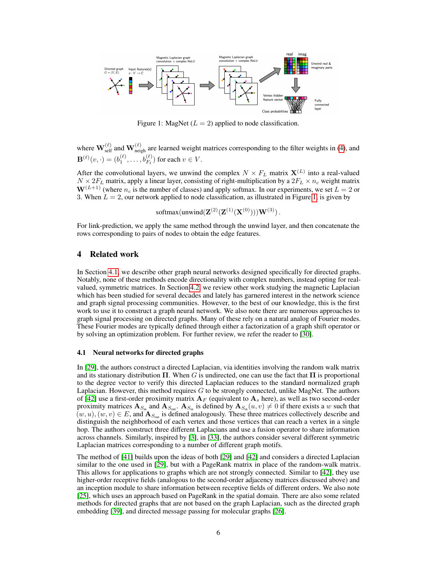<span id="page-5-1"></span>

Figure 1: MagNet ( $L = 2$ ) applied to node classification.

where  $\mathbf{W}^{(\ell)}_{\rm self}$  and  $\mathbf{W}^{(\ell)}_{\rm neigh}$  are learned weight matrices corresponding to the filter weights in [\(4\)](#page-4-0), and  $\mathbf{B}^{(\ell)}(v, \cdot) = (b_1^{(\ell)}, \dots, b_{F_\ell}^{(\ell)})$  for each  $v \in V$ .

After the convolutional layers, we unwind the complex  $N \times F_L$  matrix  $\mathbf{X}^{(L)}$  into a real-valued  $N \times 2F_L$  matrix, apply a linear layer, consisting of right-multiplication by a  $2F_L \times n_c$  weight matrix  $W^{(L+1)}$  (where  $n_c$  is the number of classes) and apply softmax. In our experiments, we set  $L = 2$  or 3. When  $L = 2$ , our network applied to node classification, as illustrated in Figure [1,](#page-5-1) is given by

softmax(unwind( $\mathbf{Z}^{(2)}(\mathbf{Z}^{(1)}(\mathbf{X}^{(0)})))\mathbf{W}^{(3)}$ ).

For link-prediction, we apply the same method through the unwind layer, and then concatenate the rows corresponding to pairs of nodes to obtain the edge features.

# <span id="page-5-0"></span>4 Related work

In Section [4.1,](#page-5-2) we describe other graph neural networks designed specifically for directed graphs. Notably, none of these methods encode directionality with complex numbers, instead opting for realvalued, symmetric matrices. In Section [4.2,](#page-6-1) we review other work studying the magnetic Laplacian which has been studied for several decades and lately has garnered interest in the network science and graph signal processing communities. However, to the best of our knowledge, this is the first work to use it to construct a graph neural network. We also note there are numerous approaches to graph signal processing on directed graphs. Many of these rely on a natural analog of Fourier modes. These Fourier modes are typically defined through either a factorization of a graph shift operator or by solving an optimization problem. For further review, we refer the reader to [\[30\]](#page-11-12).

## <span id="page-5-2"></span>4.1 Neural networks for directed graphs

In [\[29\]](#page-11-1), the authors construct a directed Laplacian, via identities involving the random walk matrix and its stationary distribution  $\Pi$ . When G is undirected, one can use the fact that  $\Pi$  is proportional to the degree vector to verify this directed Laplacian reduces to the standard normalized graph Laplacian. However, this method requires  $G$  to be strongly connected, unlike MagNet. The authors of [\[42\]](#page-12-4) use a first-order proximity matrix  $A_F$  (equivalent to  $A_s$  here), as well as two second-order proximity matrices  $A_{S_{in}}$  and  $A_{S_{out}}$ .  $A_{S_{in}}$  is defined by  $A_{S_{in}}(u, v) \neq 0$  if there exists a w such that  $(w, u), (w, v) \in E$ , and  $\mathbf{A}_{S_{out}}$  is defined analogously. These three matrices collectively describe and distinguish the neighborhood of each vertex and those vertices that can reach a vertex in a single hop. The authors construct three different Laplacians and use a fusion operator to share information across channels. Similarly, inspired by [\[3\]](#page-10-11), in [\[33\]](#page-11-2), the authors consider several different symmetric Laplacian matrices corresponding to a number of different graph motifs.

The method of [\[41\]](#page-12-3) builds upon the ideas of both [\[29\]](#page-11-1) and [\[42\]](#page-12-4) and considers a directed Laplacian similar to the one used in [\[29\]](#page-11-1), but with a PageRank matrix in place of the random-walk matrix. This allows for applications to graphs which are not strongly connected. Similar to [\[42\]](#page-12-4), they use higher-order receptive fields (analogous to the second-order adjacency matrices discussed above) and an inception module to share information between receptive fields of different orders. We also note [\[25\]](#page-11-13), which uses an approach based on PageRank in the spatial domain. There are also some related methods for directed graphs that are not based on the graph Laplacian, such as the directed graph embedding [\[39\]](#page-12-7), and directed message passing for molecular graphs [\[26\]](#page-11-14).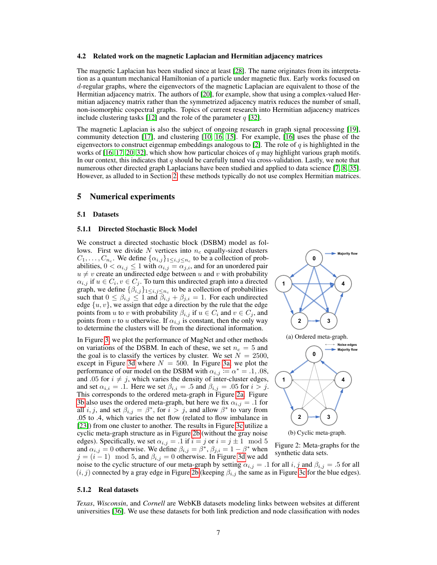#### <span id="page-6-1"></span>4.2 Related work on the magnetic Laplacian and Hermitian adjacency matrices

The magnetic Laplacian has been studied since at least [\[28\]](#page-11-15). The name originates from its interpretation as a quantum mechanical Hamiltonian of a particle under magnetic flux. Early works focused on d-regular graphs, where the eigenvectors of the magnetic Laplacian are equivalent to those of the Hermitian adjacency matrix. The authors of [\[20\]](#page-11-3), for example, show that using a complex-valued Hermitian adjacency matrix rather than the symmetrized adjacency matrix reduces the number of small, non-isomorphic cospectral graphs. Topics of current research into Hermitian adjacency matrices include clustering tasks [\[12\]](#page-10-12) and the role of the parameter  $q$  [\[32\]](#page-11-4).

The magnetic Laplacian is also the subject of ongoing research in graph signal processing [\[19\]](#page-11-5), community detection [\[17\]](#page-10-1), and clustering [\[10,](#page-10-2) [16,](#page-10-0) [15\]](#page-10-3). For example, [\[16\]](#page-10-0) uses the phase of the eigenvectors to construct eigenmap embeddings analogous to [\[2\]](#page-10-7). The role of q is highlighted in the works of  $[16, 17, 20, 32]$  $[16, 17, 20, 32]$  $[16, 17, 20, 32]$  $[16, 17, 20, 32]$  $[16, 17, 20, 32]$  $[16, 17, 20, 32]$  $[16, 17, 20, 32]$ , which show how particular choices of q may highlight various graph motifs. In our context, this indicates that  $q$  should be carefully tuned via cross-validation. Lastly, we note that numerous other directed graph Laplacians have been studied and applied to data science [\[7,](#page-10-13) [8,](#page-10-14) [35\]](#page-11-16). However, as alluded to in Section [2,](#page-1-0) these methods typically do not use complex Hermitian matrices.

## <span id="page-6-0"></span>5 Numerical experiments

#### 5.1 Datasets

#### 5.1.1 Directed Stochastic Block Model

We construct a directed stochastic block (DSBM) model as follows. First we divide N vertices into  $n_c$  equally-sized clusters  $C_1, \ldots, C_{n_c}$ . We define  $\{\alpha_{i,j}\}_{1 \leq i,j \leq n_c}$  to be a collection of probabilities,  $0 < \alpha_{i,j} \leq 1$  with  $\alpha_{i,j} = \alpha_{j,i}$ , and for an unordered pair  $u \neq v$  create an undirected edge between u and v with probability  $\alpha_{i,j}$  if  $u \in C_i$ ,  $v \in C_j$ . To turn this undirected graph into a directed graph, we define  $\{\beta_{i,j}\}_{1 \leq i,j \leq n_c}$  to be a collection of probabilities such that  $0 \leq \beta_{i,j} \leq 1$  and  $\beta_{i,j} + \beta_{j,i} = 1$ . For each undirected edge  $\{u, v\}$ , we assign that edge a direction by the rule that the edge points from u to v with probability  $\beta_{i,j}$  if  $u \in C_i$  and  $v \in C_j$ , and points from v to u otherwise. If  $\alpha_{i,j}$  is constant, then the only way to determine the clusters will be from the directional information.

In Figure [3,](#page-8-0) we plot the performance of MagNet and other methods on variations of the DSBM. In each of these, we set  $n_c = 5$  and the goal is to classify the vertices by cluster. We set  $N = 2500$ , except in Figure [3d](#page-8-0) where  $N = 500$ . In Figure [3a,](#page-8-0) we plot the performance of our model on the DSBM with  $\alpha_{i,j} := \alpha^* = .1, .08$ , and .05 for  $i \neq j$ , which varies the density of inter-cluster edges, and set  $\alpha_{i,i} = .1$ . Here we set  $\beta_{i,i} = .5$  and  $\beta_{i,j} = .05$  for  $i > j$ . This corresponds to the ordered meta-graph in Figure [2a.](#page-6-2) Figure [3b](#page-8-0) also uses the ordered meta-graph, but here we fix  $\alpha_{i,j} = .1$  for all *i*, *j*, and set  $\beta_{i,j} = \beta^*$ , for  $i > j$ , and allow  $\beta^*$  to vary from .05 to .4, which varies the net flow (related to flow imbalance in [\[23\]](#page-11-17)) from one cluster to another. The results in Figure [3c](#page-8-0) utilize a cyclic meta-graph structure as in Figure [2b](#page-6-2) (without the gray noise edges). Specifically, we set  $\alpha_{i,j} = .1$  if  $i = j$  or  $i = j \pm 1 \mod 5$ and  $\alpha_{i,j} = 0$  otherwise. We define  $\beta_{i,j} = \beta^*, \beta_{j,i} = 1 - \beta^*$  when  $j = (i - 1) \mod 5$ , and  $\beta_{i,j} = 0$  otherwise. In Figure [3d](#page-8-0) we add

<span id="page-6-2"></span>

Figure 2: Meta-graphs for the synthetic data sets.

noise to the cyclic structure of our meta-graph by setting  $\alpha_{i,j} = .1$  for all  $i, j$  and  $\beta_{i,j} = .5$  for all  $(i, j)$  connected by a gray edge in Figure [2b](#page-6-2) (keeping  $\beta_{i,j}$  the same as in Figure [3c](#page-8-0) for the blue edges).

#### 5.1.2 Real datasets

*Texas*, *Wisconsin*, and *Cornell* are WebKB datasets modeling links between websites at different universities [\[36\]](#page-11-0). We use these datasets for both link prediction and node classification with nodes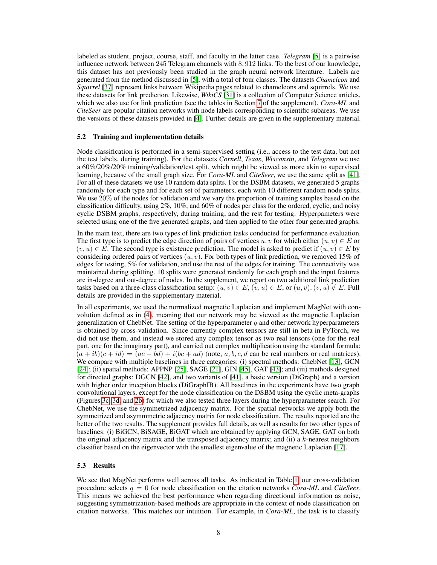labeled as student, project, course, staff, and faculty in the latter case. *Telegram* [\[5\]](#page-10-15) is a pairwise influence network between 245 Telegram channels with 8, 912 links. To the best of our knowledge, this dataset has not previously been studied in the graph neural network literature. Labels are generated from the method discussed in [\[5\]](#page-10-15), with a total of four classes. The datasets *Chameleon* and *Squirrel* [\[37\]](#page-12-8) represent links between Wikipedia pages related to chameleons and squirrels. We use these datasets for link prediction. Likewise, *WikiCS* [\[31\]](#page-11-18) is a collection of Computer Science articles, which we also use for link prediction (see the tables in Section [7](#page-0-0) of the supplement). *Cora-ML* and *CiteSeer* are popular citation networks with node labels corresponding to scientific subareas. We use the versions of these datasets provided in [\[4\]](#page-10-16). Further details are given in the supplementary material.

#### 5.2 Training and implementation details

Node classification is performed in a semi-supervised setting (i.e., access to the test data, but not the test labels, during training). For the datasets *Cornell*, *Texas*, *Wisconsin*, and *Telegram* we use a 60%/20%/20% training/validation/test split, which might be viewed as more akin to supervised learning, because of the small graph size. For *Cora-ML* and *CiteSeer*, we use the same split as [\[41\]](#page-12-3). For all of these datasets we use 10 random data splits. For the DSBM datasets, we generated 5 graphs randomly for each type and for each set of parameters, each with 10 different random node splits. We use 20% of the nodes for validation and we vary the proportion of training samples based on the classification difficulty, using 2%, 10%, and 60% of nodes per class for the ordered, cyclic, and noisy cyclic DSBM graphs, respectively, during training, and the rest for testing. Hyperpameters were selected using one of the five generated graphs, and then applied to the other four generated graphs.

In the main text, there are two types of link prediction tasks conducted for performance evaluation. The first type is to predict the edge direction of pairs of vertices u, v for which either  $(u, v) \in E$  or  $(v, u) \in E$ . The second type is existence prediction. The model is asked to predict if  $(u, v) \in E$  by considering ordered pairs of vertices  $(u, v)$ . For both types of link prediction, we removed 15% of edges for testing, 5% for validation, and use the rest of the edges for training. The connectivity was maintained during splitting. 10 splits were generated randomly for each graph and the input features are in-degree and out-degree of nodes. In the supplement, we report on two additional link prediction tasks based on a three-class classification setup:  $(u, v) \in E$ ,  $(v, u) \in E$ , or  $(u, v)$ ,  $(v, u) \notin E$ . Full details are provided in the supplementary material.

In all experiments, we used the normalized magnetic Laplacian and implement MagNet with convolution defined as in [\(4\)](#page-4-0), meaning that our network may be viewed as the magnetic Laplacian generalization of ChebNet. The setting of the hyperparameter  $q$  and other network hyperparameters is obtained by cross-validation. Since currently complex tensors are still in beta in PyTorch, we did not use them, and instead we stored any complex tensor as two real tensors (one for the real part, one for the imaginary part), and carried out complex multiplication using the standard formula:  $(a + ib)(c + id) = (ac - bd) + i(bc + ad)$  (note, a, b, c, d can be real numbers or real matrices). We compare with multiple baselines in three categories: (i) spectral methods: ChebNet [\[13\]](#page-10-5), GCN [\[24\]](#page-11-6); (ii) spatial methods: APPNP [\[25\]](#page-11-13), SAGE [\[21\]](#page-11-8), GIN [\[45\]](#page-12-9), GAT [\[43\]](#page-12-2); and (iii) methods designed for directed graphs: DGCN [\[42\]](#page-12-4), and two variants of [\[41\]](#page-12-3), a basic version (DiGraph) and a version with higher order inception blocks (DiGraphIB). All baselines in the experiments have two graph convolutional layers, except for the node classification on the DSBM using the cyclic meta-graphs (Figures [3c, 3d,](#page-8-0) and [2b\)](#page-6-2) for which we also tested three layers during the hyperparameter search. For ChebNet, we use the symmetrized adjacency matrix. For the spatial networks we apply both the symmetrized and asymmmetric adjacency matrix for node classification. The results reported are the better of the two results. The supplement provides full details, as well as results for two other types of baselines: (i) BiGCN, BiSAGE, BiGAT which are obtained by applying GCN, SAGE, GAT on both the original adjacency matrix and the transposed adjacency matrix; and (ii) a  $k$ -nearest neighbors classifier based on the eigenvector with the smallest eigenvalue of the magnetic Laplacian [\[17\]](#page-10-1).

#### 5.3 Results

We see that MagNet performs well across all tasks. As indicated in Table [1,](#page-8-1) our cross-validation procedure selects q = 0 for node classification on the citation networks *Cora-ML* and *CiteSeer*. This means we achieved the best performance when regarding directional information as noise, suggesting symmetrization-based methods are appropriate in the context of node classification on citation networks. This matches our intuition. For example, in *Cora-ML*, the task is to classify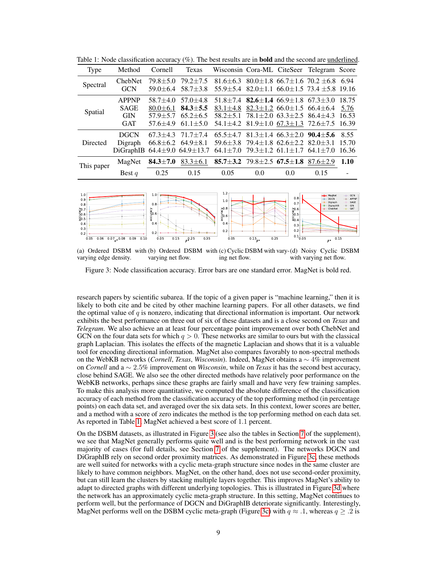| <b>Type</b> | Method                                                             | Cornell                                                      | Texas                                                            |                                                                                                                                              |                                              |     | Wisconsin Cora-ML CiteSeer Telegram Score                                                                                        |                                 |
|-------------|--------------------------------------------------------------------|--------------------------------------------------------------|------------------------------------------------------------------|----------------------------------------------------------------------------------------------------------------------------------------------|----------------------------------------------|-----|----------------------------------------------------------------------------------------------------------------------------------|---------------------------------|
| Spectral    | ChebNet<br><b>GCN</b>                                              | $79.8 + 5.0$<br>$59.0 \pm 6.4$                               | $79.2 \pm 7.5$<br>$58.7 + 3.8$                                   |                                                                                                                                              |                                              |     | 81.6 $\pm$ 6.3 80.0 $\pm$ 1.8 66.7 $\pm$ 1.6 70.2 $\pm$ 6.8<br>$55.9 \pm 5.4$ 82.0 $\pm$ 1.1 66.0 $\pm$ 1.5 73.4 $\pm$ 5.8 19.16 | 6.94                            |
| Spatial     | <b>APPNP</b><br><b>SAGE</b><br><b>GIN</b><br><b>GAT</b>            | $58.7 + 4.0$<br>$80.0 + 6.1$<br>$57.9 + 5.7$<br>$57.6 + 4.9$ | $57.0 + 4.8$<br>$84.3 + 5.5$<br>$65.2 \pm 6.5$<br>$61.1 \pm 5.0$ | $51.8 \pm 7.4$ 82.6 $\pm$ 1.4 66.9 $\pm$ 1.8 67.3 $\pm$ 3.0<br>83.1 $\pm$ 4.8 82.3 $\pm$ 1.2 66.0 $\pm$ 1.5 66.4 $\pm$ 6.4<br>$58.2 + 5.1$   | $78.1 \pm 2.0$ 63.3 $\pm 2.5$ 86.4 $\pm 4.3$ |     | 54.1 $\pm$ 4.2 81.9 $\pm$ 1.0 67.3 $\pm$ 1.3 72.6 $\pm$ 7.5                                                                      | 18.75<br>5.76<br>16.53<br>16.39 |
| Directed    | <b>DGCN</b><br>Digraph<br>DiGraphIB $64.4 \pm 9.0$ $64.9 \pm 13.7$ |                                                              | $67.3 + 4.3$ $71.7 + 7.4$<br>$66.8 \pm 6.2$ $64.9 \pm 8.1$       | $65.5 \pm 4.7$ 81.3 $\pm$ 1.4 66.3 $\pm$ 2.0 90.4 $\pm$ 5.6<br>59.6 $\pm$ 3.8 79.4 $\pm$ 1.8 62.6 $\pm$ 2.2 82.0 $\pm$ 3.1<br>$64.1 \pm 7.0$ |                                              |     | $79.3 \pm 1.2$ 61.1 $\pm$ 1.7 64.1 $\pm$ 7.0                                                                                     | 8.55<br>15.70<br>16.36          |
| This paper  | MagNet                                                             | $84.3 \pm 7.0$                                               | $83.3 \pm 6.1$                                                   | 85.7 $\pm$ 3.2 79.8 $\pm$ 2.5 67.5 $\pm$ 1.8 87.6 $\pm$ 2.9                                                                                  |                                              |     |                                                                                                                                  | 1.10                            |
|             | Best $q$                                                           | 0.25                                                         | 0.15                                                             | 0.05                                                                                                                                         | 0.0                                          | 0.0 | 0.15                                                                                                                             |                                 |

<span id="page-8-1"></span>Table 1: Node classification accuracy (%). The best results are in **bold** and the second are <u>underlined</u>.

<span id="page-8-0"></span>

(a) Ordered DSBM with (b) Ordered DSBM with (c) Cyclic DSBM with vary-(d) Noisy Cyclic DSBM varying edge density. varying net flow. ing net flow. with varying net flow.

Figure 3: Node classification accuracy. Error bars are one standard error. MagNet is bold red.

research papers by scientific subarea. If the topic of a given paper is "machine learning," then it is likely to both cite and be cited by other machine learning papers. For all other datasets, we find the optimal value of  $q$  is nonzero, indicating that directional information is important. Our network exhibits the best performance on three out of six of these datasets and is a close second on *Texas* and *Telegram*. We also achieve an at least four percentage point improvement over both ChebNet and GCN on the four data sets for which  $q > 0$ . These networks are similar to ours but with the classical graph Laplacian. This isolates the effects of the magnetic Laplacian and shows that it is a valuable tool for encoding directional information. MagNet also compares favorably to non-spectral methods on the WebKB networks (*Cornell*, *Texas*, *Wisconsin*). Indeed, MagNet obtains a ∼ 4% improvement on *Cornell* and a ∼ 2.5% improvement on *Wisconsin*, while on *Texas* it has the second best accuracy, close behind SAGE. We also see the other directed methods have relatively poor performance on the WebKB networks, perhaps since these graphs are fairly small and have very few training samples. To make this analysis more quantitative, we computed the absolute difference of the classification accuracy of each method from the classification accuracy of the top performing method (in percentage points) on each data set, and averaged over the six data sets. In this context, lower scores are better, and a method with a score of zero indicates the method is the top performing method on each data set. As reported in Table [1,](#page-8-1) MagNet achieved a best score of 1.1 percent.

On the DSBM datasets, as illustrated in Figure [3](#page-8-0) (see also the tables in Section [7](#page-0-0) of the supplement), we see that MagNet generally performs quite well and is the best performing network in the vast majority of cases (for full details, see Section [7](#page-0-0) of the supplement). The networks DGCN and DiGraphIB rely on second order proximity matrices. As demonstrated in Figure [3c,](#page-8-0) these methods are well suited for networks with a cyclic meta-graph structure since nodes in the same cluster are likely to have common neighbors. MagNet, on the other hand, does not use second-order proximity, but can still learn the clusters by stacking multiple layers together. This improves MagNet's ability to adapt to directed graphs with different underlying topologies. This is illustrated in Figure [3d](#page-8-0) where the network has an approximately cyclic meta-graph structure. In this setting, MagNet continues to perform well, but the performance of DGCN and DiGraphIB deteriorate significantly. Interestingly, MagNet performs well on the DSBM cyclic meta-graph (Figure [3c\)](#page-8-0) with  $q \approx .1$ , whereas  $q \ge .2$  is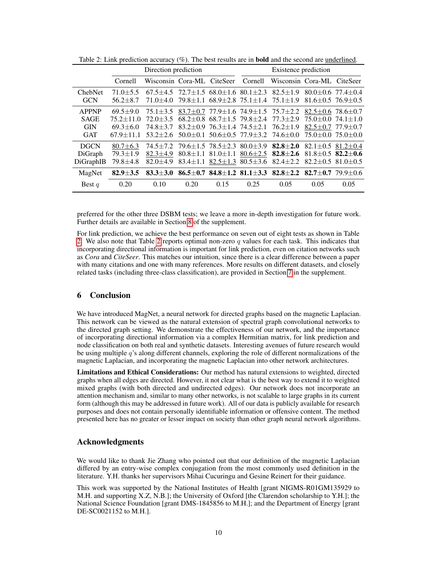|                       | Direction prediction           |                                                                                  |                |                                              | Existence prediction                         |                                                                                            |                                                      |      |
|-----------------------|--------------------------------|----------------------------------------------------------------------------------|----------------|----------------------------------------------|----------------------------------------------|--------------------------------------------------------------------------------------------|------------------------------------------------------|------|
|                       | Cornell                        | Wisconsin Cora-ML CiteSeer                                                       |                |                                              | Cornell                                      | Wisconsin Cora-ML CiteSeer                                                                 |                                                      |      |
| ChebNet<br><b>GCN</b> | $71.0 \pm 5.5$<br>$56.2 + 8.7$ | $67.5\pm4.5$ $72.7\pm1.5$ $68.0\pm1.6$ $80.1\pm2.3$ $82.5\pm1.9$<br>$71.0 + 4.0$ |                | $79.8 \pm 1.1$ 68.9 $\pm 2.8$ 75.1 $\pm 1.4$ |                                              | $75.1 \pm 1.9$                                                                             | $80.0+0.6$ 77.4+0.4<br>$81.6 \pm 0.5$ 76.9 $\pm 0.5$ |      |
| <b>APPNP</b>          | $69.5 + 9.0$                   | $75.1 + 3.5$                                                                     |                |                                              |                                              | 83.7 $\pm$ 0.7 77.9 $\pm$ 1.6 74.9 $\pm$ 1.5 75.7 $\pm$ 2.2                                | $82.5 \pm 0.6$ 78.6 $\pm 0.7$                        |      |
| <b>SAGE</b>           | $75.2 + 11.0$                  | $72.0 \pm 3.5$                                                                   |                |                                              | $68.2 \pm 0.8$ $68.7 \pm 1.5$ $79.8 \pm 2.4$ | 77.3±2.9                                                                                   | $75.0 + 0.0$ $74.1 + 1.0$                            |      |
| <b>GIN</b>            | $69.3 \pm 6.0$                 | $74.8 + 3.7$                                                                     |                | $83.2 \pm 0.9$ 76.3 $\pm$ 1.4 74.5 $\pm$ 2.1 |                                              | $76.2 \pm 1.9$                                                                             | $82.5 \pm 0.7$ 77.9 $\pm 0.7$                        |      |
| <b>GAT</b>            | $67.9 \pm 11.1$                | $53.2 + 2.6$                                                                     |                |                                              | $50.0+0.1$ $50.6+0.5$ $77.9+3.2$             | 74.6±0.0                                                                                   | $75.0+0.0$ $75.0+0.0$                                |      |
| <b>DGCN</b>           | $80.7 \pm 6.3$                 |                                                                                  |                |                                              |                                              | $74.5\pm7.2$ $79.6\pm1.5$ $78.5\pm2.3$ $80.0\pm3.9$ $82.8\pm2.0$ $82.1\pm0.5$ $81.2\pm0.4$ |                                                      |      |
| DiGraph               | $79.3 \pm 1.9$                 | $82.3 \pm 4.9$                                                                   |                |                                              |                                              | $80.8 \pm 1.1$ $81.0 \pm 1.1$ $80.6 \pm 2.5$ $82.8 \pm 2.6$                                | $81.8 \pm 0.5$ 82.2 $\pm$ 0.6                        |      |
| DiGraphIB             | $79.8 \pm 4.8$                 | $82.0 + 4.9$                                                                     | $83.4 \pm 1.1$ |                                              | $82.5 \pm 1.3$ $80.5 \pm 3.6$                | $82.4 \pm 2.2$                                                                             | $82.2 \pm 0.5$ $81.0 \pm 0.5$                        |      |
| MagNet                | $82.9 + 3.5$                   | $83.3 + 3.0$                                                                     |                |                                              |                                              | 86.5±0.7 84.8±1.2 81.1±3.3 82.8±2.2 82.7±0.7 79.9±0.6                                      |                                                      |      |
| Best $q$              | 0.20                           | 0.10                                                                             | 0.20           | 0.15                                         | 0.25                                         | 0.05                                                                                       | 0.05                                                 | 0.05 |

<span id="page-9-1"></span>Table 2: Link prediction accuracy (%). The best results are in bold and the second are underlined.

preferred for the other three DSBM tests; we leave a more in-depth investigation for future work. Further details are available in Section [8](#page-0-0) of the supplement.

For link prediction, we achieve the best performance on seven out of eight tests as shown in Table [2.](#page-9-1) We also note that Table [2](#page-9-1) reports optimal non-zero  $q$  values for each task. This indicates that incorporating directional information is important for link prediction, even on citation networks such as *Cora* and *CiteSeer*. This matches our intuition, since there is a clear difference between a paper with many citations and one with many references. More results on different datasets, and closely related tasks (including three-class classification), are provided in Section [7](#page-0-0) in the supplement.

# <span id="page-9-0"></span>6 Conclusion

We have introduced MagNet, a neural network for directed graphs based on the magnetic Laplacian. This network can be viewed as the natural extension of spectral graph convolutional networks to the directed graph setting. We demonstrate the effectiveness of our network, and the importance of incorporating directional information via a complex Hermitian matrix, for link prediction and node classification on both real and synthetic datasets. Interesting avenues of future research would be using multiple q's along different channels, exploring the role of different normalizations of the magnetic Laplacian, and incorporating the magnetic Laplacian into other network architectures.

Limitations and Ethical Considerations: Our method has natural extensions to weighted, directed graphs when all edges are directed. However, it not clear what is the best way to extend it to weighted mixed graphs (with both directed and undirected edges). Our network does not incorporate an attention mechanism and, similar to many other networks, is not scalable to large graphs in its current form (although this may be addressed in future work). All of our data is publicly available for research purposes and does not contain personally identifiable information or offensive content. The method presented here has no greater or lesser impact on society than other graph neural network algorithms.

# Acknowledgments

We would like to thank Jie Zhang who pointed out that our definition of the magnetic Laplacian differed by an entry-wise complex conjugation from the most commonly used definition in the literature. Y.H. thanks her supervisors Mihai Cucuringu and Gesine Reinert for their guidance.

This work was supported by the National Institutes of Health [grant NIGMS-R01GM135929 to M.H. and supporting X.Z, N.B.]; the University of Oxford [the Clarendon scholarship to Y.H.]; the National Science Foundation [grant DMS-1845856 to M.H.]; and the Department of Energy [grant DE-SC0021152 to M.H.].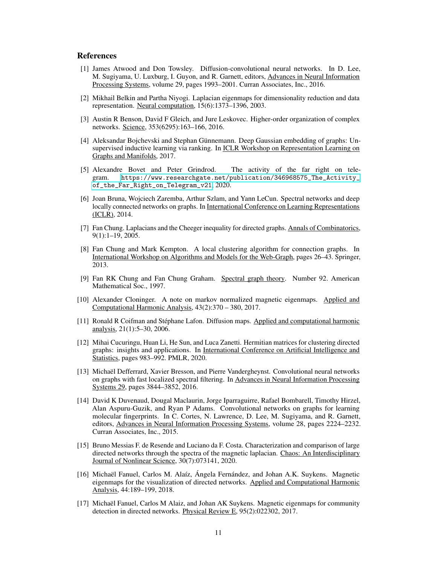## References

- <span id="page-10-9"></span>[1] James Atwood and Don Towsley. Diffusion-convolutional neural networks. In D. Lee, M. Sugiyama, U. Luxburg, I. Guyon, and R. Garnett, editors, Advances in Neural Information Processing Systems, volume 29, pages 1993–2001. Curran Associates, Inc., 2016.
- <span id="page-10-7"></span>[2] Mikhail Belkin and Partha Niyogi. Laplacian eigenmaps for dimensionality reduction and data representation. Neural computation, 15(6):1373–1396, 2003.
- <span id="page-10-11"></span>[3] Austin R Benson, David F Gleich, and Jure Leskovec. Higher-order organization of complex networks. Science, 353(6295):163–166, 2016.
- <span id="page-10-16"></span>[4] Aleksandar Bojchevski and Stephan Günnemann. Deep Gaussian embedding of graphs: Unsupervised inductive learning via ranking. In **ICLR Workshop on Representation Learning on** Graphs and Manifolds, 2017.
- <span id="page-10-15"></span>[5] Alexandre Bovet and Peter Grindrod. The activity of the far right on telegram. [https://www.researchgate.net/publication/346968575\\_The\\_Activity\\_](https://www.researchgate.net/publication/346968575_The_Activity_of_the_Far_Right_on_Telegram_v21) [of\\_the\\_Far\\_Right\\_on\\_Telegram\\_v21](https://www.researchgate.net/publication/346968575_The_Activity_of_the_Far_Right_on_Telegram_v21), 2020.
- <span id="page-10-4"></span>[6] Joan Bruna, Wojciech Zaremba, Arthur Szlam, and Yann LeCun. Spectral networks and deep locally connected networks on graphs. In International Conference on Learning Representations (ICLR), 2014.
- <span id="page-10-13"></span>[7] Fan Chung. Laplacians and the Cheeger inequality for directed graphs. Annals of Combinatorics, 9(1):1–19, 2005.
- <span id="page-10-14"></span>[8] Fan Chung and Mark Kempton. A local clustering algorithm for connection graphs. In International Workshop on Algorithms and Models for the Web-Graph, pages 26–43. Springer, 2013.
- <span id="page-10-6"></span>[9] Fan RK Chung and Fan Chung Graham. Spectral graph theory. Number 92. American Mathematical Soc., 1997.
- <span id="page-10-2"></span>[10] Alexander Cloninger. A note on markov normalized magnetic eigenmaps. Applied and Computational Harmonic Analysis, 43(2):370 – 380, 2017.
- <span id="page-10-8"></span>[11] Ronald R Coifman and Stéphane Lafon. Diffusion maps. Applied and computational harmonic analysis, 21(1):5–30, 2006.
- <span id="page-10-12"></span>[12] Mihai Cucuringu, Huan Li, He Sun, and Luca Zanetti. Hermitian matrices for clustering directed graphs: insights and applications. In International Conference on Artificial Intelligence and Statistics, pages 983–992. PMLR, 2020.
- <span id="page-10-5"></span>[13] Michaël Defferrard, Xavier Bresson, and Pierre Vandergheynst. Convolutional neural networks on graphs with fast localized spectral filtering. In Advances in Neural Information Processing Systems 29, pages 3844–3852, 2016.
- <span id="page-10-10"></span>[14] David K Duvenaud, Dougal Maclaurin, Jorge Iparraguirre, Rafael Bombarell, Timothy Hirzel, Alan Aspuru-Guzik, and Ryan P Adams. Convolutional networks on graphs for learning molecular fingerprints. In C. Cortes, N. Lawrence, D. Lee, M. Sugiyama, and R. Garnett, editors, Advances in Neural Information Processing Systems, volume 28, pages 2224–2232. Curran Associates, Inc., 2015.
- <span id="page-10-3"></span>[15] Bruno Messias F. de Resende and Luciano da F. Costa. Characterization and comparison of large directed networks through the spectra of the magnetic laplacian. Chaos: An Interdisciplinary Journal of Nonlinear Science, 30(7):073141, 2020.
- <span id="page-10-0"></span>[16] Michaël Fanuel, Carlos M. Alaíz, Ángela Fernández, and Johan A.K. Suykens. Magnetic eigenmaps for the visualization of directed networks. Applied and Computational Harmonic Analysis, 44:189–199, 2018.
- <span id="page-10-1"></span>[17] Michaël Fanuel, Carlos M Alaiz, and Johan AK Suykens. Magnetic eigenmaps for community detection in directed networks. Physical Review E, 95(2):022302, 2017.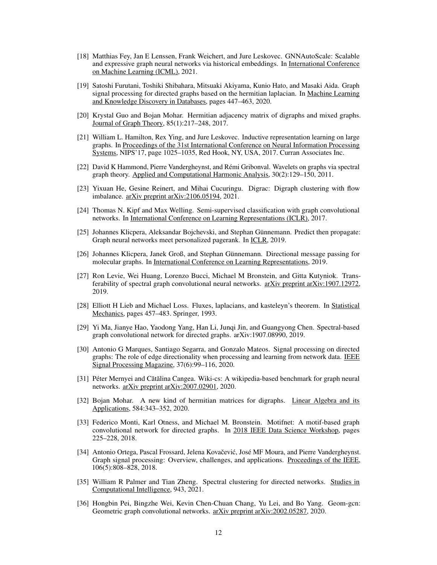- <span id="page-11-11"></span>[18] Matthias Fey, Jan E Lenssen, Frank Weichert, and Jure Leskovec. GNNAutoScale: Scalable and expressive graph neural networks via historical embeddings. In International Conference on Machine Learning (ICML), 2021.
- <span id="page-11-5"></span>[19] Satoshi Furutani, Toshiki Shibahara, Mitsuaki Akiyama, Kunio Hato, and Masaki Aida. Graph signal processing for directed graphs based on the hermitian laplacian. In Machine Learning and Knowledge Discovery in Databases, pages 447–463, 2020.
- <span id="page-11-3"></span>[20] Krystal Guo and Bojan Mohar. Hermitian adjacency matrix of digraphs and mixed graphs. Journal of Graph Theory, 85(1):217–248, 2017.
- <span id="page-11-8"></span>[21] William L. Hamilton, Rex Ying, and Jure Leskovec. Inductive representation learning on large graphs. In Proceedings of the 31st International Conference on Neural Information Processing Systems, NIPS'17, page 1025–1035, Red Hook, NY, USA, 2017. Curran Associates Inc.
- <span id="page-11-9"></span>[22] David K Hammond, Pierre Vandergheynst, and Rémi Gribonval. Wavelets on graphs via spectral graph theory. Applied and Computational Harmonic Analysis, 30(2):129–150, 2011.
- <span id="page-11-17"></span>[23] Yixuan He, Gesine Reinert, and Mihai Cucuringu. Digrac: Digraph clustering with flow imbalance. arXiv preprint arXiv:2106.05194, 2021.
- <span id="page-11-6"></span>[24] Thomas N. Kipf and Max Welling. Semi-supervised classification with graph convolutional networks. In International Conference on Learning Representations (ICLR), 2017.
- <span id="page-11-13"></span>[25] Johannes Klicpera, Aleksandar Bojchevski, and Stephan Günnemann. Predict then propagate: Graph neural networks meet personalized pagerank. In ICLR, 2019.
- <span id="page-11-14"></span>[26] Johannes Klicpera, Janek Groß, and Stephan Günnemann. Directional message passing for molecular graphs. In International Conference on Learning Representations, 2019.
- <span id="page-11-10"></span>[27] Ron Levie, Wei Huang, Lorenzo Bucci, Michael M Bronstein, and Gitta Kutyniok. Transferability of spectral graph convolutional neural networks. arXiv preprint arXiv:1907.12972, 2019.
- <span id="page-11-15"></span>[28] Elliott H Lieb and Michael Loss. Fluxes, laplacians, and kasteleyn's theorem. In Statistical Mechanics, pages 457–483. Springer, 1993.
- <span id="page-11-1"></span>[29] Yi Ma, Jianye Hao, Yaodong Yang, Han Li, Junqi Jin, and Guangyong Chen. Spectral-based graph convolutional network for directed graphs. arXiv:1907.08990, 2019.
- <span id="page-11-12"></span>[30] Antonio G Marques, Santiago Segarra, and Gonzalo Mateos. Signal processing on directed graphs: The role of edge directionality when processing and learning from network data. IEEE Signal Processing Magazine, 37(6):99–116, 2020.
- <span id="page-11-18"></span>[31] Péter Mernyei and Cătălina Cangea. Wiki-cs: A wikipedia-based benchmark for graph neural networks. arXiv preprint arXiv:2007.02901, 2020.
- <span id="page-11-4"></span>[32] Bojan Mohar. A new kind of hermitian matrices for digraphs. Linear Algebra and its Applications, 584:343–352, 2020.
- <span id="page-11-2"></span>[33] Federico Monti, Karl Otness, and Michael M. Bronstein. Motifnet: A motif-based graph convolutional network for directed graphs. In 2018 IEEE Data Science Workshop, pages 225–228, 2018.
- <span id="page-11-7"></span>[34] Antonio Ortega, Pascal Frossard, Jelena Kovačević, José MF Moura, and Pierre Vandergheynst. Graph signal processing: Overview, challenges, and applications. Proceedings of the IEEE, 106(5):808–828, 2018.
- <span id="page-11-16"></span>[35] William R Palmer and Tian Zheng. Spectral clustering for directed networks. Studies in Computational Intelligence, 943, 2021.
- <span id="page-11-0"></span>[36] Hongbin Pei, Bingzhe Wei, Kevin Chen-Chuan Chang, Yu Lei, and Bo Yang. Geom-gcn: Geometric graph convolutional networks. arXiv preprint arXiv:2002.05287, 2020.